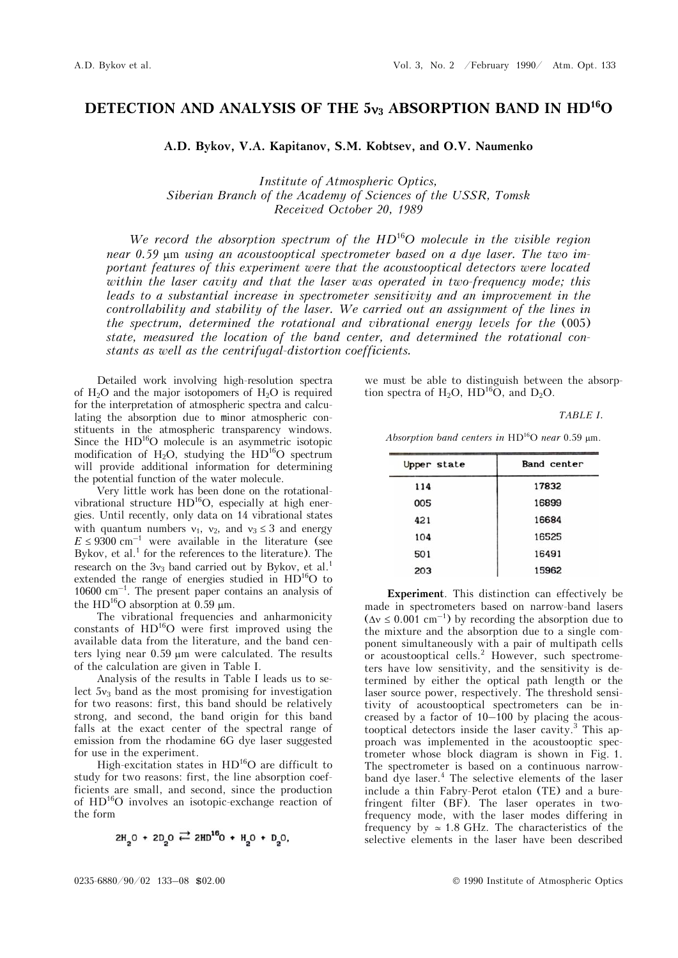## DETECTION AND ANALYSIS OF THE 5**v**<sub>3</sub> ABSORPTION BAND IN HD<sup>16</sup>O

A.D. Bykov, V.A. Kapitanov, S.M. Kobtsev, and O.V. Naumenko

*Institute of Atmospheric Optics, Siberian Branch of the Academy of Sciences of the USSR, Tomsk Received October 20, 1989* 

*We record the absorption spectrum of the HD*<sup>16</sup>*O molecule in the visible region near* 0.59  $\mu$ m *using an acoustooptical spectrometer based on a dye laser. The two important features of this experiment were that the acoustooptical detectors were located within the laser cavity and that the laser was operated in two-frequency mode; this leads to a substantial increase in spectrometer sensitivity and an improvement in the controllability and stability of the laser. We carried out an assignment of the lines in the spectrum, determined the rotational and vibrational energy levels for the* (005) *state, measured the location of the band center, and determined the rotational constants as well as the centrifugal-distortion coefficients.* 

Detailed work involving high-resolution spectra of  $H_2O$  and the major isotopomers of  $H_2O$  is required for the interpretation of atmospheric spectra and calculating the absorption due to minor atmospheric constituents in the atmospheric transparency windows. Since the HD<sup>16</sup>O molecule is an asymmetric isotopic modification of  $H_2O$ , studying the  $HD<sup>16</sup>O$  spectrum will provide additional information for determining the potential function of the water molecule.

Very little work has been done on the rotationalvibrational structure  $HD^{16}O$ , especially at high energies. Until recently, only data on 14 vibrational states with quantum numbers  $v_1$ ,  $v_2$ , and  $v_3 \leq 3$  and energy  $E \leq 9300 \text{ cm}^{-1}$  were available in the literature (see Bykov, et al.<sup>1</sup> for the references to the literature). The research on the  $3v_3$  band carried out by Bykov, et al.<sup>1</sup> extended the range of energies studied in HD<sup>16</sup>O to  $10600 \text{ cm}^{-1}$ . The present paper contains an analysis of the  $HD^{16}O$  absorption at 0.59  $\mu$ m.

The vibrational frequencies and anharmonicity constants of  $HD^{16}O$  were first improved using the available data from the literature, and the band centers lying near  $0.59 \mu m$  were calculated. The results of the calculation are given in Table I.

Analysis of the results in Table I leads us to select  $5v_3$  band as the most promising for investigation for two reasons: first, this band should be relatively strong, and second, the band origin for this band falls at the exact center of the spectral range of emission from the rhodamine 6G dye laser suggested for use in the experiment.

High-excitation states in HD16O are difficult to study for two reasons: first, the line absorption coefficients are small, and second, since the production of HD16O involves an isotopic-exchange reaction of the form

$$
2H_2O + 2D_2O \rightleftarrows 2HD^{16}O + H_2O + D_2O
$$

we must be able to distinguish between the absorption spectra of H<sub>2</sub>O, HD<sup>16</sup>O, and D<sub>2</sub>O.

*TABLE I.*

Absorption band centers in  $HD^{16}O$  near 0.59 µm.

| Upper state | Band center |
|-------------|-------------|
| 114         | 17832       |
| 005         | 16899       |
| 421         | 16684       |
| 104         | 16525       |
| 501         | 16491       |
| 203         | 15962       |

**Experiment**. This distinction can effectively be made in spectrometers based on narrow-band lasers  $(\Delta v \le 0.001 \text{ cm}^{-1})$  by recording the absorption due to the mixture and the absorption due to a single component simultaneously with a pair of multipath cells or acoustooptical cells.<sup>2</sup> However, such spectrometers have low sensitivity, and the sensitivity is determined by either the optical path length or the laser source power, respectively. The threshold sensitivity of acoustooptical spectrometers can be increased by a factor of 10–100 by placing the acoustooptical detectors inside the laser cavity.<sup>3</sup> This approach was implemented in the acoustooptic spectrometer whose block diagram is shown in Fig. 1. The spectrometer is based on a continuous narrowband dye laser.<sup>4</sup> The selective elements of the laser include a thin Fabry-Perot etalon (TE) and a burefringent filter (BF). The laser operates in twofrequency mode, with the laser modes differing in frequency by  $\simeq$  1.8 GHz. The characteristics of the selective elements in the laser have been described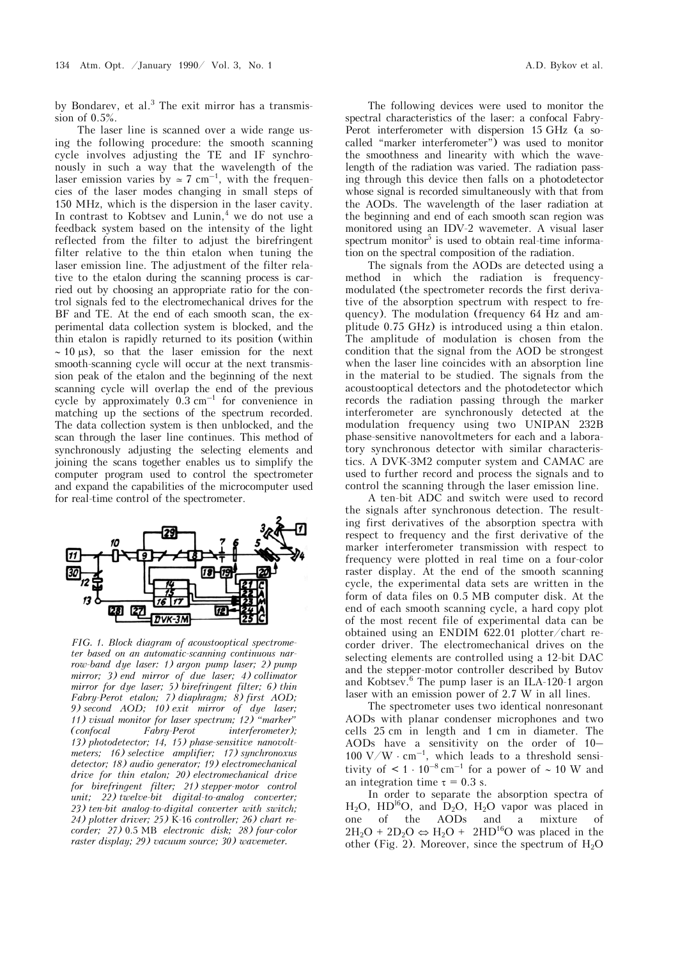by Bondarev, et al.<sup>3</sup> The exit mirror has a transmission of 0.5%.

The laser line is scanned over a wide range using the following procedure: the smooth scanning cycle involves adjusting the TE and IF synchronously in such a way that the wavelength of the laser emission varies by  $\approx 7$  cm<sup>-1</sup>, with the frequencies of the laser modes changing in small steps of 150 MHz, which is the dispersion in the laser cavity. In contrast to Kobtsev and Lunin,<sup>4</sup> we do not use a feedback system based on the intensity of the light reflected from the filter to adjust the birefringent filter relative to the thin etalon when tuning the laser emission line. The adjustment of the filter relative to the etalon during the scanning process is carried out by choosing an appropriate ratio for the control signals fed to the electromechanical drives for the BF and TE. At the end of each smooth scan, the experimental data collection system is blocked, and the thin etalon is rapidly returned to its position (within  $\sim$  10  $\mu$ s), so that the laser emission for the next smooth-scanning cycle will occur at the next transmission peak of the etalon and the beginning of the next scanning cycle will overlap the end of the previous cycle by approximately  $0.3 \text{ cm}^{-1}$  for convenience in matching up the sections of the spectrum recorded. The data collection system is then unblocked, and the scan through the laser line continues. This method of synchronously adjusting the selecting elements and joining the scans together enables us to simplify the computer program used to control the spectrometer and expand the capabilities of the microcomputer used for real-time control of the spectrometer.



*FIG. 1. Block diagram of acoustooptical spectrometer based on an automatic-scanning continuous narrow-band dye laser: 1) argon pump laser; 2) pump mirror; 3) end mirror of due laser; 4) collimator mirror for dye laser; 5) birefringent filter; 6) thin Fabry-Perot etalon; 7) diaphragm; 8) first AOD; 9) second AOD; 10) exit mirror of dye laser; 11) visual monitor for laser spectrum; 12) "marker" (confocal Fabry-Perot interferometer); 13) photodetector; 14, 15) phase-sensitive nanovoltmeters; 16) selective amplifier; 17) synchronoxus detector; 18) audio generator; 19) electromechanical drive for thin etalon; 20) electromechanical drive for birefringent filter; 21) stepper-motor control unit; 22) twelve-bit digital-to-analog converter; 23) ten-bit analog-to-digital converter with switch; 24) plotter driver; 25)* K-16 *controller; 26) chart recorder; 27)* 0.5 MB *electronic disk; 28) four-color raster display; 29) vacuum source; 30) wavemeter.* 

The following devices were used to monitor the spectral characteristics of the laser: a confocal Fabry-Perot interferometer with dispersion 15 GHz (a socalled "marker interferometer") was used to monitor the smoothness and linearity with which the wavelength of the radiation was varied. The radiation passing through this device then falls on a photodetector whose signal is recorded simultaneously with that from the AODs. The wavelength of the laser radiation at the beginning and end of each smooth scan region was monitored using an IDV-2 wavemeter. A visual laser spectrum monitor<sup>5</sup> is used to obtain real-time information on the spectral composition of the radiation.

The signals from the AODs are detected using a method in which the radiation is frequencymodulated (the spectrometer records the first derivative of the absorption spectrum with respect to frequency). The modulation (frequency 64 Hz and amplitude 0.75 GHz) is introduced using a thin etalon. The amplitude of modulation is chosen from the condition that the signal from the AOD be strongest when the laser line coincides with an absorption line in the material to be studied. The signals from the acoustooptical detectors and the photodetector which records the radiation passing through the marker interferometer are synchronously detected at the modulation frequency using two UNIPAN 232B phase-sensitive nanovoltmeters for each and a laboratory synchronous detector with similar characteristics. A DVK-3M2 computer system and CAMAC are used to further record and process the signals and to control the scanning through the laser emission line.

A ten-bit ADC and switch were used to record the signals after synchronous detection. The resulting first derivatives of the absorption spectra with respect to frequency and the first derivative of the marker interferometer transmission with respect to frequency were plotted in real time on a four-color raster display. At the end of the smooth scanning cycle, the experimental data sets are written in the form of data files on 0.5 MB computer disk. At the end of each smooth scanning cycle, a hard copy plot of the most recent file of experimental data can be obtained using an ENDIM 622.01 plotter/chart recorder driver. The electromechanical drives on the selecting elements are controlled using a 12-bit DAC and the stepper-motor controller described by Butov and Kobtsev.6 The pump laser is an ILA-120-1 argon laser with an emission power of 2.7 W in all lines.

The spectrometer uses two identical nonresonant AODs with planar condenser microphones and two cells 25 cm in length and 1 cm in diameter. The AODs have a sensitivity on the order of 10– 100 V/W  $\cdot$  cm<sup>-1</sup>, which leads to a threshold sensitivity of  $\leq 1 \cdot 10^{-8}$  cm<sup>-1</sup> for a power of  $\sim 10$  W and an integration time  $\tau = 0.3$  s.

In order to separate the absorption spectra of  $H_2O$ ,  $HD^{16}O$ , and  $D_2O$ ,  $H_2O$  vapor was placed in one of the AODs and a mixture of  $2H_2O + 2D_2O \Leftrightarrow H_2O + 2HD^{16}O$  was placed in the other (Fig. 2). Moreover, since the spectrum of  $H_2O$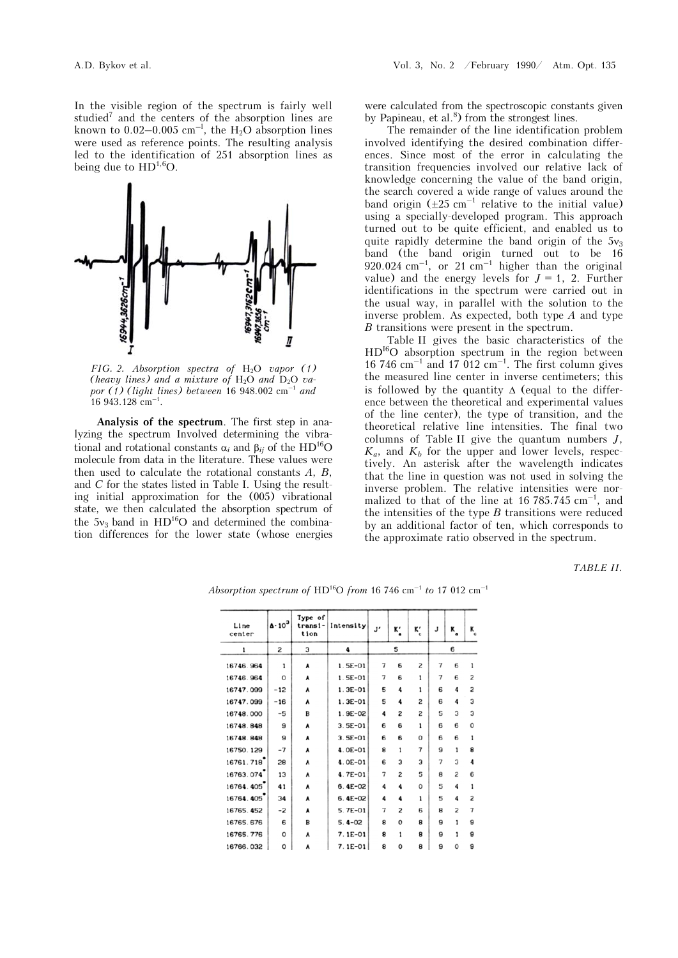In the visible region of the spectrum is fairly well studied<sup>7</sup> and the centers of the absorption lines are known to  $0.02-0.005$  cm<sup>-1</sup>, the H<sub>2</sub>O absorption lines were used as reference points. The resulting analysis led to the identification of 251 absorption lines as being due to  $HD^{1,6}O$ .



*FIG. 2. Absorption spectra of* H2O *vapor (1) (heavy lines) and a mixture of*  $H_2O$  *and*  $D_2O$  *vapor (1) (light lines) between* 16 948.002 cm–1 *and*   $16943.128$  cm<sup>-1</sup>.

**Analysis of the spectrum**. The first step in analyzing the spectrum Involved determining the vibrational and rotational constants  $\alpha_i$  and  $\beta_{ii}$  of the HD<sup>16</sup>O molecule from data in the literature. These values were then used to calculate the rotational constants *A*, *B*, and *C* for the states listed in Table I. Using the resulting initial approximation for the (005) vibrational state, we then calculated the absorption spectrum of the  $5v_3$  band in  $HD^{16}O$  and determined the combination differences for the lower state (whose energies were calculated from the spectroscopic constants given by Papineau, et al. $^{8}$ ) from the strongest lines.

The remainder of the line identification problem involved identifying the desired combination differences. Since most of the error in calculating the transition frequencies involved our relative lack of knowledge concerning the value of the band origin, the search covered a wide range of values around the band origin  $(\pm 25 \text{ cm}^{-1}$  relative to the initial value) using a specially-developed program. This approach turned out to be quite efficient, and enabled us to quite rapidly determine the band origin of the  $5v_3$ band (the band origin turned out to be 16  $920.024$  cm<sup>-1</sup>, or 21 cm<sup>-1</sup> higher than the original value) and the energy levels for  $J = 1$ , 2. Further identifications in the spectrum were carried out in the usual way, in parallel with the solution to the inverse problem. As expected, both type *A* and type *<i>B* transitions were present in the spectrum.

Table II gives the basic characteristics of the HDI6O absorption spectrum in the region between  $16$  746 cm<sup>-1</sup> and 17 012 cm<sup>-1</sup>. The first column gives the measured line center in inverse centimeters; this is followed by the quantity  $\Delta$  (equal to the difference between the theoretical and experimental values of the line center), the type of transition, and the theoretical relative line intensities. The final two columns of Table II give the quantum numbers *J*,  $K_a$ , and  $K_b$  for the upper and lower levels, respectively. An asterisk after the wavelength indicates that the line in question was not used in solving the inverse problem. The relative intensities were normalized to that of the line at 16 785.745  $\text{cm}^{-1}$ , and the intensities of the type *Â* transitions were reduced by an additional factor of ten, which corresponds to the approximate ratio observed in the spectrum.

*TABLE II.* 

| Line<br>center | $\Delta \cdot 10^3$ | Type of<br>transi-<br>tion | Intensity   | J' | ĸ.             | ĸ.<br>$\epsilon$ | J                        | ĸ              | K. |
|----------------|---------------------|----------------------------|-------------|----|----------------|------------------|--------------------------|----------------|----|
| 1              | 2                   | 3                          | 4           |    | 5              |                  |                          | 6              |    |
| 16746.964      | 1                   | A                          | $1.5E-01$   | 7  | 6              | 2                | $\overline{7}$           | 6              | 1  |
| 16746.964      | O                   | A                          | $1.5E-01$   | 7  | 6              | 1                | $\overline{7}$           | 6              | 2  |
| 16747.099      | $-12$               | A                          | $1.3E - 01$ | 5  | 4              | 1                | 6                        | 4              | 2  |
| 16747.099      | $-16$               | ٨                          | $1.3E - 01$ | 5  | 4              | 2                | 6                        | 4              | 3  |
| 16748.000      | $-5$                | B                          | $1.9E-02$   | 4  | 2              | 2                | 5                        | 3              | 3  |
| 16748.848      | 9                   | ٨                          | $3.5E-01$   | 6  | 6              | 1                | 6                        | 6              | 0  |
| 16748.848      | 9                   | ٨                          | $3.5E-01$   | 6  | 6              | o                | 6                        | 6              | 1  |
| 16750.129      | $-7$                | A                          | $4.0E - 01$ | 8  | 1              | 7                | 9                        | 1              | 8  |
| 16761.718      | 28                  | A                          | $4.0E - 01$ | 6  | 3              | 3                | $\overline{\phantom{a}}$ | 3              | 4  |
| 16763.074      | 13                  | A                          | $4.7E - 01$ | 7  | 2              | 5                | 8                        | 2              | 6  |
| 16764.405      | 41                  | ٨                          | $6.4E-02$   | 4  | 4              | 0                | 5                        | 4              | 1  |
| 16764.405      | 34                  | ٨                          | $6.4E-02$   | 4  | 4              | 1                | 5                        | 4              | 2  |
| 16765.452      | $-2$                | ٨                          | $5.7E-01$   | 7  | $\overline{c}$ | 6                | 8                        | $\overline{c}$ |    |
| 16765.676      | 6                   | B                          | $5.4 - 02$  | 8  | $\Omega$       | 8                | 9                        | 1              | 9  |
| 16765.776      | 0                   | ٨                          | $7.1E-01$   | 8  | 1              | 8                | 9                        | 1              | 9  |
| 16766 032      | C                   | ▲                          | $7.1F - 01$ | я  | $\Omega$       | я                | Q                        | O              | Q  |

*Absorption spectrum of* HD16O *from* 16 746 cm–1 *to* 17 012 cm–1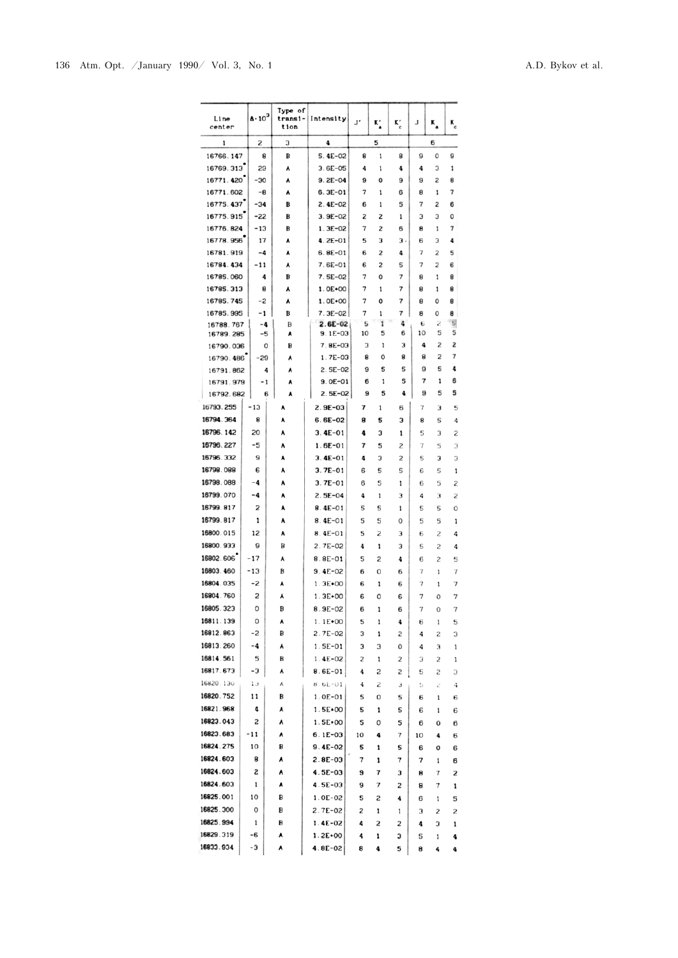| Line<br>center         | $\Delta \cdot 10^3$ | Type of<br>transi-<br>tion | Intensity                  | J'      | ĸ.     | Kʻ     | J       | κ.     | к.     |
|------------------------|---------------------|----------------------------|----------------------------|---------|--------|--------|---------|--------|--------|
| 1                      | S                   | 3                          | 4                          |         | 5      |        |         | 6      |        |
| 16766.147              | 8                   | В                          | $5.4E-02$                  | 8       | 1      | 8      | 9       | 0      | 9      |
| 16769.313              | 29                  | ٨                          | $3.6E-05$                  | 4       | 1      | 4      | 4       | з      | 1      |
| 16771.420              | -30                 | ٨                          | $9.2E - 04$                | 9       | 0      | 9      | 9       | S      | 8      |
| 16771.602              | -8                  | ٨                          | $6.3E-01$                  | 7       | 1      | 6      | 8       | 1      | 7      |
| 16775.437              | -34                 | в                          | $2.4E - 02$                | 6       | 1      | 5      | 7       | 2      | 6      |
| 16775.915<br>16776.824 | -22<br>-13          | в<br>в                     | $3.9E - 02$<br>$1.3E - 02$ | S<br>7  | 2<br>2 | 1<br>6 | 3<br>8  | з<br>1 | 0<br>7 |
| 16778.956              | 17                  | ٨                          | $4.2E - 01$                | 5       | 3      | з.     | 6       | з      | 4      |
| 16781.919              | -4                  | ٨                          | $6.8E-01$                  | 6       | 2      | 4      | 7       | 2      | 5      |
| 16784.434              | -11                 | ٨                          | $7.6E - 01$                | 6       | 2      | 5      | 7       | 2      | 6      |
| 16785.060              | 4                   | в                          | 7.5E-02                    | 7       | 0      | 7      | 8       | 1      | 8      |
| 16785.313              | 8                   | ٨                          | $1.0E+00$                  | 7       | 1      | 7      | 8       | 1      | 8      |
| 16785.745              | -2                  | ٨                          | $1.0E+00$                  | 7       | 0      | 7      | 8       | 0      | 8      |
| 16785.995              | -1                  | B                          | $7.3E-02$                  | 7       | 1      | 7      | 8       | 0      | 8      |
| 16788.767<br>16789.285 | -4<br>-5            | B<br>٨                     | $2.6E-02$<br>$9.1E-03$     | 5<br>10 | 1<br>5 | 4<br>6 | 6<br>10 | г<br>5 | 9<br>5 |
| 16790.036              | 0                   | B                          | 7.8E-03                    | 3       | 1      | з      | 4       | 2      | 2      |
| 16790.486              | -29                 | ٨                          | $1.7E-03$                  | 8       | 0      | 8      | 8       | 2      | 7      |
| 16791.862              | 4                   | ٨                          | $2.5E-02$                  | 9       | 5      | 5      | 9       | 5      | 4      |
| 16791.979              | - 1                 | ٨                          | $9.0E - 01$                | 6       | 1      | 5      | 7       | 1      | 6      |
| 16792.682              | 6                   | ٨                          | $2.5E-02$                  | 9       | 5      | 4      | 9       | 5      | 5      |
| 16793.255              | -13                 | ۸                          | $2.9E - 03$                | 7       | 1      | 6      | 7       | з      | 5      |
| 16794.364              | 8                   | ٨                          | $6.6E-02$                  | 8       | 5      | з      | 8       | 5      | 4      |
| 16796.142              | 20                  | ٨                          | $3.4E - 01$                | 4       | з      | 1      | 5       | 3      | 2      |
| 16796.227              | -5                  | ٨                          | $1.6E - 01$                | 7       | 5      | 2      | 7       | 5      | 3      |
| 16796.332              | э                   | ٨                          | $3.4E - 01$                | 4       | з      | 2      | 5       | 3      | 3      |
| 16798.088              | 6                   | ٨                          | $3.7E - 01$                | 6       | 5      | 5      | 6       | 5      | 1      |
| 16798.088              | -4                  | ٨                          | $3.7E - 01$                | 6       | 5      | 1      | 6       | 5      | 2      |
| 16799.070              | -4                  | ٨                          | $2.5E-04$                  | 4       | 1      | 3      | 4       | з      | S      |
| 16799.817              | 2                   | ٨                          | $8.4E - 01$                | 5       | 5      | 1      | 5       | 5      | Ö      |
| 16799.817              | 1                   | ٨                          | $8.4E - 01$                | 5       | 5      | 0      | 5       | 5      | 1      |
| 16800.015              | 12                  | ٨                          | 8.4E-01                    | 5       | 2      | з      | 6       | 2      | 4      |
| 16800.933              | 9                   | в                          | $2.7E - 02$                | 4       | 1      | 3      | 5       | 2      | 4      |
| 16802.606<br>16803.460 | -17                 | A                          | $8.8E - 01$                | 5       | 2      | 4      | 6       | 2      | 5      |
| 16804.035              | -13<br>-2           | B<br>٨                     | 9.4E-02<br>$1.3E+00$       | 6       | 0      | 6      | 7<br>7  | 1      | 7<br>7 |
| 16804.760              | 2                   | ۸                          | $1.3E+00$                  | 6<br>6  | 1<br>٥ | 6<br>6 | 7       | 1<br>0 | 7      |
| 16805.323              | 0                   | B                          | $8.9E - 02$                | 6       | 1      | 6      | 7       | 0      | 7      |
| 16811.139              | 0                   | ٨                          | $1.1E+00$                  | 5       | 1      | 4      | 6       | 1      | 5      |
| 16812.863              | -2                  | в                          | $2.7E-02$                  | 3       | 1      | S      | 4       | S      | 3      |
| 16813.260              | -4                  | A                          | $1.5E-01$                  | з       | 3      | 0      | 4       | з      | 1      |
| 16814.561              | 5                   | в                          | $1.4E-02$                  | 2       | 1      | 2      | З       | 2      | 1      |
| 16817.673              | -3                  | ٨                          | $8.6E-01$                  | 4       | S      | S      | 5       | 2      | 3      |
| 16820.130              | 13                  | Α                          | $8.6k - 01$                | 4       | 2      | з      | 5       | 2      | 4      |
| 16820.752              | 11                  | в                          | $1.0E-01$                  | 5       | o      | 5      | 6       | ı      | 6      |
| 16821.968              | 4                   | ٨                          | $1.5E + 00$                | 5       | ı      | 5      | 6       | 1      | 6      |
| 16823.043              | 2                   | ٨                          | $1.5E + 00$                | 5       | 0      | 5      | 6       | 0      | 6      |
| 16823.683              | -11                 | ۸                          | $6.1E-03$                  | 10      | 4      | 7      | 10      | 4      | 6      |
| 16824.275              | 10                  | в                          | $9.4E-02$                  | 5       | ı      | 5      | 6       | 0      | 6      |
| 16824.603              | 8                   | ٨                          | $2.8E-03$                  | 7       | 1      | 7      | 7       | 1      | 6      |
| 16824.603              | S                   | ٨                          | 4.5E-03                    | 9       | 7      | з      | 8       | 7      | 2      |
| 16824.603              | 1                   | ٨                          | 4.5E-03                    | э       | 7      | 2      | 8       | 7      | ı      |
| 16825.001              | 10                  | в                          | $1.0E-02$                  | 5       | 2      | 4      | 6       | 1      | 5      |
| 16825.300              | 0                   | в                          | $2.7E-02$                  | 2       | 1      | 1      | з       | 2      | 2      |
| 16825.994              | 1                   | В                          | $1.4E-02$                  | 4       | S      | 2      | 4       | 3      | ı      |
| 16829.319              | -6                  | ٨                          | $1.2E+00$                  | 4       | 1      | з      | 5       | 1      | 4      |
| 16833.934              | -3                  | ٨                          | 4.8E-02                    | 8       | 4      | 5      | 8       | 4      | 4      |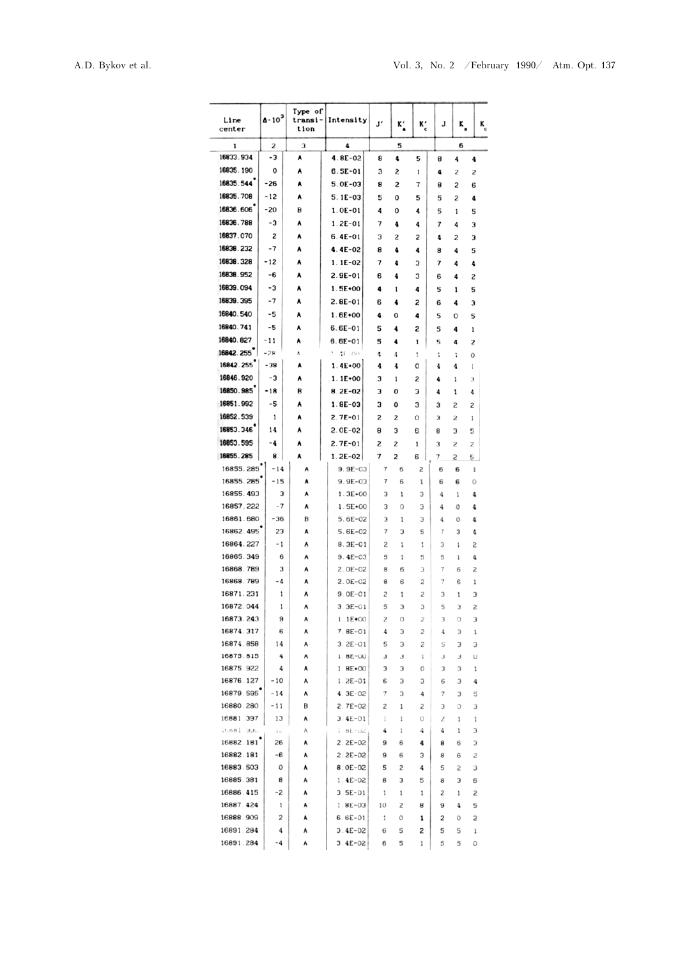| Line<br>center         | $\Delta \cdot 10^3$ | Type of<br>transi-<br>tion | Intensity                | J'     | к'     | Kʻ     | J      | к,     | $\mathbf{K}_{\rm c}$                                                                                                                                                                                                                           |  |
|------------------------|---------------------|----------------------------|--------------------------|--------|--------|--------|--------|--------|------------------------------------------------------------------------------------------------------------------------------------------------------------------------------------------------------------------------------------------------|--|
| 1                      | 2                   | З                          | 4                        |        | 5      |        |        | 6      |                                                                                                                                                                                                                                                |  |
| 16833.934              | -3                  | ٨                          | $4.8E - 02$              | 8      | 4      | 5      | 8      | 4      | 4                                                                                                                                                                                                                                              |  |
| 16835.190              | о                   | ٨                          | 6.5E-01                  | 3      | S      | 1      | 4      | 2      | 2                                                                                                                                                                                                                                              |  |
| 16835.544              | -26                 | ٨                          | $5.0E-03$                | 8      | 2      | 7      | 8      | 2      | 6                                                                                                                                                                                                                                              |  |
| 16835.708              | -12                 | ٨                          | $5.1E-03$                | 5      | 0      | 5      | 5      | 2      | 4                                                                                                                                                                                                                                              |  |
| 16836.606              | -20                 | B                          | $1.0E - 01$              | 4      | 0      | 4      | 5      | 1      | 5                                                                                                                                                                                                                                              |  |
| 16836.788              | -3                  | ۸                          | $1.2E - 01$              | 7      | 4      | 4      | 7      | 4      | з                                                                                                                                                                                                                                              |  |
| 16837.070              | 2                   | ٨                          | $6.4E - 01$              | з      | S      | 2      | 4      | 2      | 3                                                                                                                                                                                                                                              |  |
| 16838.232              | $-7$                | ٨                          | 4.4E-02                  | 8      | 4      | 4      | 8      | 4      | 5                                                                                                                                                                                                                                              |  |
| 16838.328<br>16838.952 | -12<br>-6           | ٨                          | $1.1E-02$                | 7      | 4      | 3      | 7      | 4      |                                                                                                                                                                                                                                                |  |
| 16839.094              | -3                  | ٨<br>٨                     | $2.9E - 01$<br>$1.5E+00$ | 6      | 4      | 3      | 6      | 4      |                                                                                                                                                                                                                                                |  |
| 16839.395              | -7                  | ٨                          | $2.8E - 01$              | 4<br>6 | 1<br>4 | 4<br>2 | 5<br>6 | 1<br>4 |                                                                                                                                                                                                                                                |  |
| 16840.540              | -5                  | ٨                          | 1.6E+00                  | 4      | 0      | 4      | 5      | 0      | 4<br>2<br>5<br>3<br>5<br>1<br>2<br>0<br>1<br>3<br>4<br>2<br>1<br>5<br>2<br>5<br>$\mathbf{1}$<br>$\mathbf{0}$<br>4<br>4<br>4<br>4<br>S<br>4<br>2<br>1<br>3<br>2<br>3<br>1<br>3<br>0<br>1<br>4<br>5<br>З<br>1<br>3<br>з<br>2<br>3<br>6<br>2<br>5 |  |
| 16840.741              | -5                  | ٨                          | $6.6E-01$                | 5      | 4      | 2      | 5      | 4      |                                                                                                                                                                                                                                                |  |
| 16840.827              | -11                 | ۸                          | $6.6E-01$                | 5      | 4      | 1      | 5      | 4      |                                                                                                                                                                                                                                                |  |
| 16842.255              | $-28$               | ٨                          | 1 4F-00                  | 4      | 4      | 1      | :      | ï      |                                                                                                                                                                                                                                                |  |
| 16842.255              | -38                 | ٨                          | $1.4E+00$                | 4      | 4      | 0      | 4      | 4      |                                                                                                                                                                                                                                                |  |
| 16846.920              | -3                  | ٨                          | $1.1E+00$                | 3      | 1      | S      | 4      | 1      |                                                                                                                                                                                                                                                |  |
| 16850.985              | -18                 | B                          | $8.2E - 02$              | 3      | 0      | 3      | 4      | 1      |                                                                                                                                                                                                                                                |  |
| 16851.992              | -5                  | ٨                          | $1.8E - 03$              | 3      | 0      | 3      | з      | 2      |                                                                                                                                                                                                                                                |  |
| 16852.539              | 1                   | A                          | $2.7E - 01$              | 2      | 2      | 0      | 3      | 2      |                                                                                                                                                                                                                                                |  |
| 16853.346              | 14                  | ٨                          | $2.0E - 02$              | 8      | з      | 6      | 8      | 3      |                                                                                                                                                                                                                                                |  |
| 16853.595              | -4                  | ٨                          | $2.7E-01$                | 2      | 2      | 1      | 3      | 2      |                                                                                                                                                                                                                                                |  |
| 16855.285              | 8                   | A                          | $1.2E-02$                | 7      | S      | 6      | 7      | S      |                                                                                                                                                                                                                                                |  |
| 16855.285              | $-14$               | A                          | $9.9E - 03$              | 7      | 6      | 2      | 6      | 6      |                                                                                                                                                                                                                                                |  |
| 16855.285<br>16855.493 | $-15$<br>3          | ٨<br>٨                     | $9.9E - 03$<br>$1.3E+00$ | 7<br>з | 6<br>1 | 1<br>3 | 6<br>4 | 6      |                                                                                                                                                                                                                                                |  |
| 16857.222              | -7                  | ٨                          | $1.5E + 00$              | 3      | 0      | 3      | 4      | 0      |                                                                                                                                                                                                                                                |  |
| 16861.680              | -36                 | B                          | $5.6E-02$                | з      | 1      | З      | 4      | 0      |                                                                                                                                                                                                                                                |  |
| 16862.495              | 23                  | A                          | $5.6E-02$                | 7      | 3      | 5      | 7      | 3      |                                                                                                                                                                                                                                                |  |
| 16864.227              | - 1                 | ٨                          | $8.3E - 01$              | S      | 1      | 1      | 3      | 1      |                                                                                                                                                                                                                                                |  |
| 16865.349              | 6                   | Α                          | $9.4E - 03$              | 5      | 1      | 5      | 5      | 1      | 2<br>1<br>0                                                                                                                                                                                                                                    |  |
| 16868.789              | з                   | ٨                          | $2.0E-02$                | 8      | 6      | 3      | 7      | 6      |                                                                                                                                                                                                                                                |  |
| 16868.789              | -4                  | ٨                          | $2.0E-02$                | 8      | 6      | 2      | 7      | 6      |                                                                                                                                                                                                                                                |  |
| 16871.231              | 1                   | ٨                          | $9.0E - 01$              | 2      | 1      | 2      | 3      | 1      |                                                                                                                                                                                                                                                |  |
| 16872.044<br>16873.243 | 1<br>9              | Α<br>Α                     | $3.3E - 01$<br>$1.1E*00$ | 5<br>2 | з<br>0 | 3      | 5<br>3 |        | 1<br>З<br>0<br>3<br>3<br>З<br>З<br>3<br>3<br>0<br>1<br>1<br>6<br>1<br>4<br>5                                                                                                                                                                   |  |
| 16874.317              | 6                   | A                          | $7.8E - 01$              | 4      | 3      | 2<br>2 | 4      |        |                                                                                                                                                                                                                                                |  |
| 16874.858              | 14                  | Α                          | $3.2E - 01$              | 5      | 3      | S      | 5      |        |                                                                                                                                                                                                                                                |  |
| 16875.815              | 4                   | ٨                          | $1.8E - 00$              | з      | з      | 1      | З      |        |                                                                                                                                                                                                                                                |  |
| 16875.922              | 4                   | A                          | $1.8E + 00$              | з      | 3      | 0      | З      |        |                                                                                                                                                                                                                                                |  |
| 16876.127              | $-10$               | ٨                          | $1.2E - 01$              | 6      | 3      | З      | 6      |        |                                                                                                                                                                                                                                                |  |
| 16879.595              | $-14$               | A                          | $4.3E-02$                | $\tau$ | 3      | 4      | 7      |        |                                                                                                                                                                                                                                                |  |
| 16880.280              | -11                 | В                          | $2.7E - 02$              | 2      | 1      | 2      | З      |        |                                                                                                                                                                                                                                                |  |
|                        | 13                  | ٨                          | $3.4E - 01$<br>$1.8L-UZ$ | 1      | 1      | 0      | г      |        |                                                                                                                                                                                                                                                |  |
| 16881.397              |                     |                            |                          | 4      | 1      | 4      | 4      |        |                                                                                                                                                                                                                                                |  |
| 16881.990              | ì c                 | Α                          |                          |        |        |        |        |        |                                                                                                                                                                                                                                                |  |
| 16882.181              | 26                  | ٨                          | $2.2E-02$                | 9      | 6      | 4      | 8      |        |                                                                                                                                                                                                                                                |  |
| 16882.181<br>16883.503 | -6<br>0             | ٨<br>٨                     | $2.2E-02$<br>$8.0E-02$   | 9<br>5 | 6<br>2 | з<br>4 | 8<br>5 | 6<br>S |                                                                                                                                                                                                                                                |  |
| 16885.381              | 8                   | A                          | $1.4E - 02$              | 8      | 3      | 5      | 8      | з      |                                                                                                                                                                                                                                                |  |
| 16886.415              | -2                  | A                          | $3.5E-01$                | 1      | 1      | 1      | 2      |        |                                                                                                                                                                                                                                                |  |
| 16887.424              | 1                   | ٨                          | $1.8E - 03$              | 10     | 2      | 8      | 9      |        |                                                                                                                                                                                                                                                |  |
| 16888.909              | 2                   | A                          | $6.6E-01$                | 1      | 0      | 1      | 2      | O      |                                                                                                                                                                                                                                                |  |
| 16891.284              | 4                   | A                          | $3.4E - 02$              | 6      | 5      | 2      | 5      | 5      |                                                                                                                                                                                                                                                |  |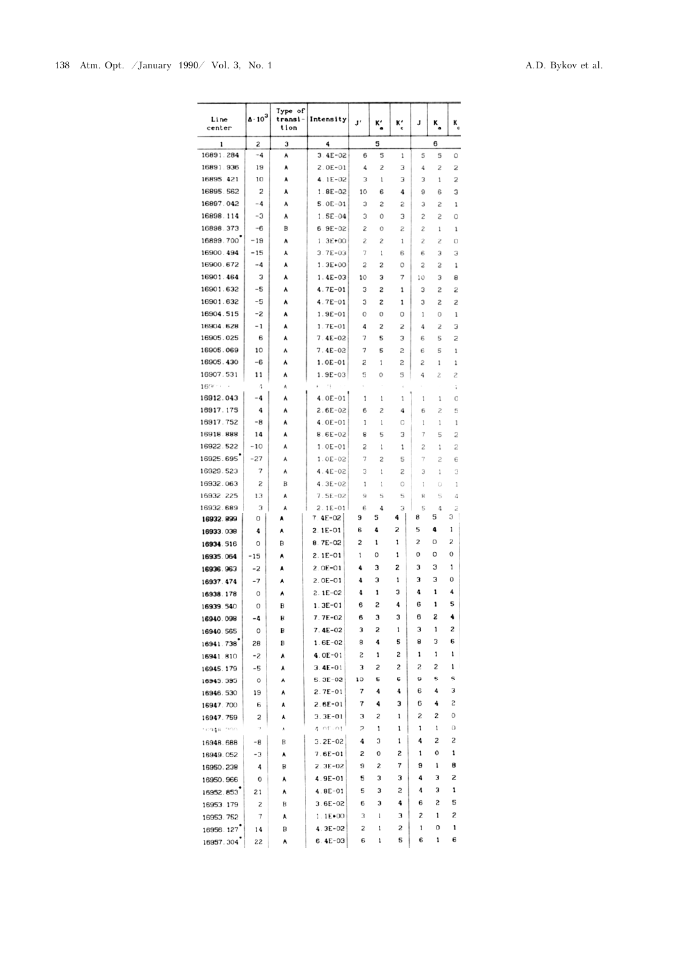| Line<br>center | $\Delta \cdot 10^3$ | Type of<br>transi-<br>tion | Intensity                         | J'             | к'             | Kʻ     | J      | к.     | K<br>c |
|----------------|---------------------|----------------------------|-----------------------------------|----------------|----------------|--------|--------|--------|--------|
| 1              | 2                   | з<br>4                     |                                   | 5              |                |        |        | 6      |        |
| 16891.284      | $-4$                | ٨                          | $3.4E - 02$                       | 6              | 5              | 1      | 5      | 5      | 0      |
| 16891.936      | 19                  | A                          | $2.0E - 01$                       | 4              | 2              | 3      | 4      | 2      | S      |
| 16895.421      | 10                  | A                          | $4.1E-02$                         | з              | 1              | 3      | 3      | 1      | 2      |
| 16895.562      | 2                   | ٨                          | $1.8E - 02$                       | 10             | 6              | 4      | 9      | 6      | 3      |
| 16897.042      | -4                  | ٨                          | $5.0E - 01$                       | 3              | 2              | S      | 3      | 2      | 1      |
| 16898.114      | -3                  | A                          | $1.5E-04$                         | 3              | 0              | 3      | 2      | 2      | 0      |
| 16898.373      | -6                  | B                          | $6.9E - 02$                       | S              | 0              | 2      | 2      | 1      | 1      |
| 16899.700      | -19                 | ٨                          | $1.3E + 00$                       | S              | 2              | 1      | S      | S      | 0      |
| 16900.494      | $-15$               | ٨                          | $3.7E-03$                         | $\overline{7}$ | 1              | 6      | 6      | 3      | з      |
| 16900.672      | -4                  | A                          | $1.3E+00$                         | 2              | S              | 0      | 2      | S      | 1      |
| 16901.464      | з                   | ٨                          | $1.4E-03$                         | 10             | 3              | 7      | 10     | 3      | 8      |
| 16901.632      | -5                  | A                          | 4.7E-01                           | 3              | 2              | 1      | 3      | 2      | 2      |
| 16901.632      | -5                  | A                          | $4.7E - 01$                       | з              | 2              | 1      | 3      | S      | S      |
| 16904.515      | -2                  | ٨                          | $1.9E - 01$                       | 0              | 0              | 0      | 1      | 0      | 1      |
| 16904.628      | $-1$                | ٨                          | $1.7E - 01$                       | 4              | 2              | S      | 4      | S      | з      |
| 16905.025      | 6                   | ٨                          | $7.4E - 02$                       | 7              | 5              | З      | 6      | 5      | 2      |
| 16905.069      | 10                  | ٨                          | $7.4E-02$                         | 7              | 5              | 2      | 6      | 5      | 1      |
| 16905.430      | -6                  | ٨                          | $1.0E - 01$                       | S              | 1              | 2      | 2      | 1      | 1      |
| 16907.531      | 11                  | ٨                          | $1.9E - 03$                       | 5              | 0              | 5      | 4      | 2      | 2      |
| 16909          | 4                   | A                          | $\mathcal{E}_{\mathcal{A}}$<br>£. |                |                |        |        |        | t      |
| 16912.043      | $-4$                | ٨                          | $4.0E-01$                         | 1              | 1              | 1      | 1      | 1      | 0      |
| 16917.175      | 4                   | A                          | $2.6E-02$                         | 6              | $\overline{c}$ | 4      | 6      | 2      | 5      |
| 16917.752      | -8                  | ٨                          | $4.0E - 01$                       | 1              | 1              | 0      | 1      | 1      | 1      |
| 16918.888      | 14                  | ٨                          | $8.6E - 02$                       | 8              | 5              | 3      | 7      | 5      | 2      |
| 16922.522      | $-10$               | ٨                          | $1.0E - 01$                       | 2              | 1              | 1      | 2      | 1      | 2      |
| 16925.695      | $-27$               | Α                          | $1.0E-02$                         | 7              | S              | 5      | 7      | 2      | 6      |
| 16929.523      | 7                   | A                          | $4.4E-02$                         | 3              | 1              | 2      | 3      | 1      | 3      |
| 16932.063      | S                   | В                          | $4.3E - 02$                       | 1              | 1              | 0      | 1      | O      | 1      |
| 16932 225      | 13                  | ٨                          | $7.5E-02$                         | 9              | 5              | 5      | 8      | 5      | 4      |
| 16932.689      | 3                   | A                          | $2.1E-01$                         | 6              | 4              | 3      | 5      | 4      | 2      |
| 16932.899      | 0                   | ٨                          | $7.4E - 02$                       | 9              | 5              | 4      | 8      | 5      | з      |
| 16933.038      | 4                   | ٨                          | $2.1E-01$                         | 6              | 4              | S      | 5      | 4      | 1      |
| 16934.516      | 0                   | в                          | $8.7E - 02$                       | 2              | 1              | 1      | 2      | 0      | 2      |
| 16935.064      | -15                 | ٨                          | $2.1E-01$                         | 1              | 0              | 1      | 0      | 0      | o      |
| 16936.963      | $-2$                | ۸                          | $2.0E - 01$                       | 4              | 3              | 2      | 3      | 3      | 1      |
| 16937.474      | $-7$                | ٨                          | $2.0E - 01$                       | 4              | з              | 1      | з      | 3      | 0      |
| 16938.178      | 0                   | ٨                          | $2.1E - 02$                       | 4              | 1              | 3      | 4      | 1      | 4      |
| 16939.540      | 0                   | в                          | 1.3E-01                           | 6              | 2              | 4      | 6      | 1      | 5      |
| 16940.098      | -4                  | В                          | 7.7E-02                           | 6              | з              | 3      | 6      | 2      | 4      |
| 16940.565      | 0                   | B                          | $7.4E-02$                         | 3              | S              | 1      | з      | 1      | 2      |
| 16941.738      | 28                  | B                          | $1.6E-02$                         | 8              | 4              | 5      | 8      | з      | 6      |
| 16941.810      | -2                  | ٨                          | $4.0E - 01$                       | S              | 1              | 2      | 1      | 1      | 1      |
| 16945.179      | -5                  | ٨                          | $3.4E-01$                         | 3              | 2              | 2      | 2      | S      | 1      |
| 16945.595      | O                   | ٨                          | $5.3E-02$                         | 10             | 5              | 6      | 9      | 5      | 5      |
| 16946.530      | 19                  | ٨                          | $2.7E-01$                         | 7              | 4              | 4      | 6      | 4      | 3      |
| 16947.700      | 6                   | ٨                          | $2.6E - 01$                       | 7              | 4              | з      | 6      | 4      | 2      |
| 16947.759      | 2                   | ٨                          | $3.3E - 01$                       | з              | 2              | ı      | 2      | 2      | 0      |
| ung apor       | $\gamma$            | ٨                          | 4 nr-nt                           | 2              | 1              | ı      | 1      | 1      | 0      |
| 16948.688      | -8                  | B                          | $3.2E - 02$                       | 4              | 3              | 1      | 4      | S      | 2      |
| 16949.052      | -3                  | ٨                          | $7.6E - 01$                       | 2              | 0              | 2      | 1      | 0      | 1      |
|                | 4                   | B                          | $2.3E-02$                         | 9              | 2              | 7      | 9      | 1      | 8      |
| 16950.238      | 0                   | ٨                          | 4.9E-01                           | 5              | 3              | з      | 4      | 3      | 2      |
| 16950.966      |                     |                            |                                   |                |                |        |        |        |        |
| 16952.853      | 21                  | ٨                          | 4.8E-01                           | 5              | з              | 2      | 4      | 3      | 1      |
| 16953.179      | 2                   | B                          | $3.6E-02$                         | 6              | з              | 4      | 6      | S      | 5      |
| 16953.752      | $\tau$              | ٨                          | $1.1E*00$                         | 3              | 1              | 3      | 2      | 1      | 2      |
| 16956.127      | 14                  | B                          | $4.3E-02$                         | 2              | 1              | 2<br>5 | 1<br>6 | 0<br>1 | 1<br>6 |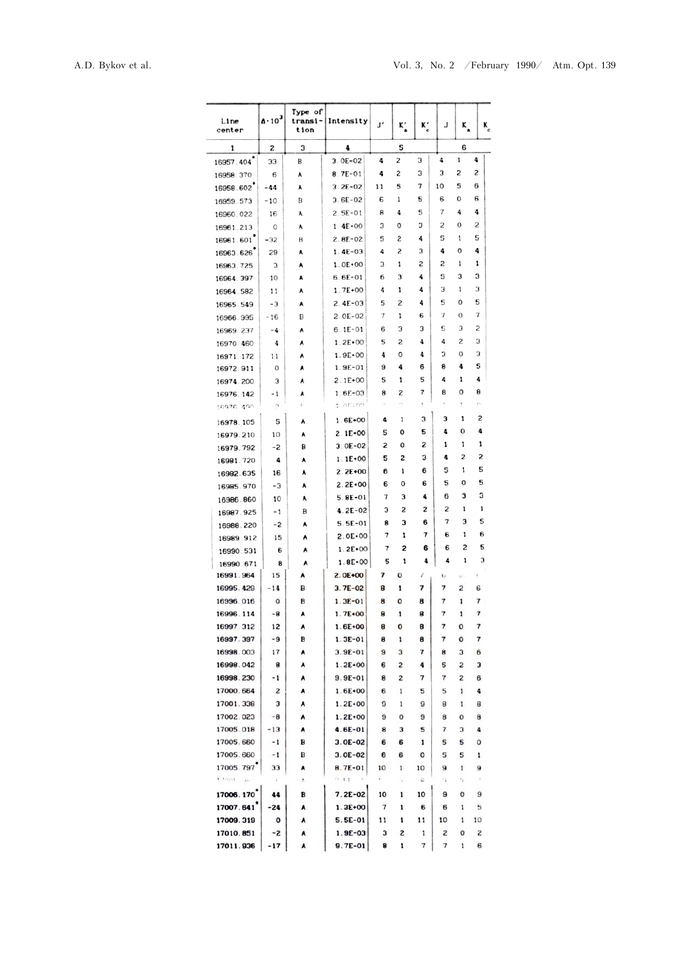| Line<br>center         | $\Delta \cdot 10^{3}$ | Type of<br>transi-<br>tion | Intensity                | J'     | K,                          |              | J      | ĸ        |                | ĸ |
|------------------------|-----------------------|----------------------------|--------------------------|--------|-----------------------------|--------------|--------|----------|----------------|---|
| 1                      | 2                     | 3                          | 4                        | 5      |                             |              |        | 6        |                |   |
| 16957.404              | 33                    | В                          | $3.0E - 02$              | 4      | 2                           | 3            | 4      | 1        | 4              |   |
| 16958.370              | 6                     | A                          | $8.7E - 01$              | 4      | 2                           | 3            | 3      | 2        | $\overline{c}$ |   |
| 16958.602              | -44                   | ٨                          | $3.2E-02$                | 11     | 5                           | 7            | 10     | 5        | 6              |   |
| 16959.573              | $-10$                 | B                          | $3.6E - 02$              | 6      | 1                           | 5            | 6      | 0        | 6              |   |
| 16960.022              | 16                    | ٨                          | $2.5E-01$                | 8      | 4                           | 5            | 7      | 4        | 4              |   |
| 16961.213              | 0                     | ٨                          | $1.4E+00$                | з      | 0                           | 3            | 2      | 0        | 2              |   |
| 16961.601              | $-32$                 | B                          | $2.8E - 02$              | 5      | 2                           | 4            | 5      | 1        | 5              |   |
| 16963.626              | 29                    | A                          | $1.4E-03$                | 4      | 2                           | 3            | 4      | 0        | 4              |   |
| 16963.725              | з                     | ٨                          | $1.0E*00$                | з      | 1                           | 2            | S      | 1        | 1              |   |
| 16964.397              | 10                    | ٨                          | $6.6E-01$                | 6      | 3                           | 4            | 5      | 3        | з              |   |
| 16964.582              | 11                    | A                          | $1.7E+00$                | 4      | 1                           | 4            | 3      | 1        | 3              |   |
| 16965.549              | -3                    | ٨                          | $2.4E - 03$              | 5      | 2                           | 4            | 5      | 0        | 5              |   |
| 16966.995              | -16                   | B                          | $2.0E - 02$              | 7      | 1                           | 6            | 7      | 0        | 7              |   |
| 16969.237              | -4                    | A                          | $6.1E-01$                | 6      | 3                           | з            | 5      | 3        | 2              |   |
| 16970.460              | 4                     | ٨                          | $1.2E+00$                | 5      | 2                           | 4            | 4      | 2        | 3              |   |
| 16971.172              | 11                    | ٨                          | $1.9E+00$                | 4      | 0                           | 4            | 3      | 0        | з<br>5         |   |
| 16972.911              | 0                     | ٨                          | $1.9E - 01$              | 9      | 4                           | 6            | 8<br>4 | 4<br>1   | 4              |   |
| 16974.200              | 3                     | ٨                          | $2.1E+00$                | 5<br>8 | 1<br>S                      | 5<br>7       | 8      | 0        | 8              |   |
| 16976.142<br>16976 490 | - 1<br>$-2$           | A<br>t)                    | $1.6E - 03$<br>a int-no  | ×.     | $\mathcal{C}_{\mathcal{A}}$ |              | ٠      | Ť        | n              |   |
|                        |                       |                            | $1.6E+00$                | 4      | 1                           | 3            | З      | 1        | 2              |   |
| 16978.105              | 5                     | ٨                          | $2.1E+00$                | 5      | 0                           | 5            | 4      | 0        | 4              |   |
| 16979.210              | 10                    | ٨                          | $3.0E - 02$              | 2      | 0                           | 2            | 1      | 1        | 1              |   |
| 16979.792              | -2                    | B<br>٨                     | $1.1E+00$                | 5      | 2                           | 3            | 4      | 2        | 2              |   |
| 16981.720              | 4<br>16               | ۸                          | $2.2E+00$                | 6      | 1                           | 6            | 5      | 1        | 5              |   |
| 16982.635<br>16985.970 | -3                    | ٨                          | $2.2E+00$                | 6      | 0                           | 6            | 5      | ٥        | 5              |   |
| 16986.860              | 10                    | ٨                          | $5.8E - 01$              | 7      | 3                           | 4            | 6      | 3        | з              |   |
| 16987.925              | - 1                   | B                          | $4.2E - 02$              | 3      | S                           | 2            | 2      | 1        | 1              |   |
| 16988.220              | -2                    | ٨                          | $5.5E-01$                | 8      | 3                           | 6            | 7      | 3        | 5              |   |
| 16989.912              | 15                    | ٨                          | $2.0E+00$                | 7      | 1                           | 7            | 6      | 1        | 6              |   |
| 16990.531              | 6                     | ٨                          | $1.2E + 00$              | 7      | 2                           | 6            | 6      | 2        | 5              |   |
| 16990.671              | 8                     | ٨                          | $1.8E+00$                | 5      | 1                           | 4            | 4      | 1        | 3              |   |
| 16991.964              | 15                    | ٨                          | 2.0E+00                  | 7      | 0                           | t            | υ      | U        | ŧ              |   |
| 16995.429              | $-14$                 | B                          | $3.7E - 02$              | 8      | 1                           | 7            | 7      | 2        | 6              |   |
| 16996.016              | 0                     | B                          | $1.3E - 01$              | 8      | 0                           | 8            | 7      | 1        | 7              |   |
| 16996.114              | -8                    | ٨                          | $1.7E+00$                | 8      | 1                           | 8            | 7      | 1        | $\pmb{7}$      |   |
| 16997.312              | 12                    | ٨                          | $1.6E+00$                | 8      | 0                           | 8            | 7      | 0        | 7              |   |
| 16997.397              | -9                    | В                          | $1.3E - 01$              | 8      | 1                           | 8            | 7      | o        | 7              |   |
| 16998.003              | 17                    | ٨                          | $3.9E - 01$              | 9      | 3                           | 7            | 8      | з        | 6              |   |
| 16998.042              | 8                     | ٨                          | $1.2E+00$                | 6      | 2                           | 4            | 5      | S        | з              |   |
| 16998.230              | -1                    | ٨                          | $9.9E - 01$              | 8      | 2                           | 7            | 7      | 2        | 6              |   |
| 17000.664              | 2                     | ٨                          | $1.6E + 00$              | 6      | 1                           | 5            | 5      | 1        | 4              |   |
| 17001.338              | з                     | ٨                          | $1.2E + 00$              | 9      | 1                           | 9            | 8      | 1        | 8              |   |
| 17002.023<br>17005.018 | -8<br>$-13$           | ٨<br>٨                     | $1.2E+00$<br>$4.6E - 01$ | 9<br>8 | 0<br>3                      | 9<br>5       | 8<br>7 | 0<br>3   | 8<br>4         |   |
| 17005.660              | -1                    | B                          | $3.0E - 02$              | 6      | 6                           | 1            | 5      | 5        | 0              |   |
| 17005.660              | $-1$                  | в                          | $3.0E-02$                | 6      | 6                           | ٥            | 5      | 5        | 1              |   |
| 17005.797              | 33                    | ٨                          | 8.7E-01                  | 10     | 1                           | 10           | 9      | 1        | 9              |   |
| TRIVIL LIC             | ÷                     | A.                         | $-11$                    | ÷      | V.                          | $\mathbf{G}$ | 13     | $\tau_2$ | à.             |   |
| 17006.170              | 44                    | B                          | $7.2E - 02$              | 10     | ı                           | 10           | 9      | $\bf{0}$ | 9              |   |
| 17007.641              | -24                   | ٨                          | $1.3E+00$                | 7      | 1                           | 6            | 6      | 1        | 5              |   |
| 17009.319              | o                     | ٨                          | 5.5E-01                  | 11     | 1                           | 11           | 10     | 1        | 10             |   |
| 17010.851              | -2                    | ٨                          | $1.9E - 03$              | з      | S                           | 1            | 2      | 0        | S              |   |
| 17011.936              | - 17                  | ٨                          | 9.7E-01                  | 8      | 1                           | 7            | 7      | 1        | 6              |   |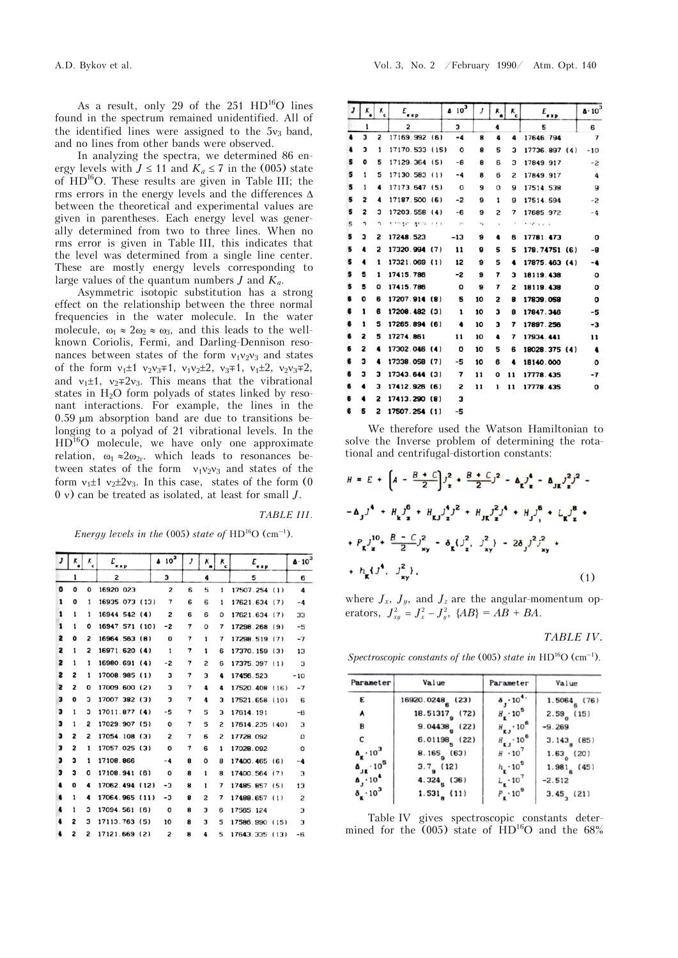As a result, only 29 of the  $251 H D^{16}O$  lines found in the spectrum remained unidentified. All of the identified lines were assigned to the  $5v_3$  band, and no lines from other bands were observed.

In analyzing the spectra, we determined 86 energy levels with  $J \le 11$  and  $K_a \le 7$  in the (005) state of  $HD<sup>16</sup>O$ . These results are given in Table III; the rms errors in the energy levels and the differences  $\Delta$ between the theoretical and experimental values are given in parentheses. Each energy level was generally determined from two to three lines. When no rms error is given in Table III, this indicates that the level was determined from a single line center. These are mostly energy levels corresponding to large values of the quantum numbers *J* and *Ka*.

Asymmetric isotopic substitution has a strong effect on the relationship between the three normal frequencies in the water molecule. In the water molecule,  $\omega_1 \approx 2\omega_2 \approx \omega_3$ , and this leads to the wellknown Coriolis, Fermi, and Darling-Dennison resonances between states of the form  $v_1v_2v_3$  and states of the form  $v_1 \pm 1$   $v_2 v_3 \mp 1$ ,  $v_1 v_2 \pm 2$ ,  $v_3 \mp 1$ ,  $v_1 \pm 2$ ,  $v_2 v_3 \mp 2$ , and  $v_1 \pm 1$ ,  $v_2 \mp 2v_3$ . This means that the vibrational states in  $H_2O$  form polyads of states linked by resonant interactions. For example, the lines in the  $0.59$  um absorption band are due to transitions belonging to a polyad of 21 vibrational levels. In the  $HD<sup>16</sup>O$  molecule, we have only one approximate relation,  $\omega_1 \approx 2\omega_{2r}$ , which leads to resonances between states of the form  $v_1v_2v_3$  and states of the form  $v_1 \pm 1$   $v_2 \pm 2v_3$ . In this case, states of the form (0) 0 ) can be treated as isolated, at least for small *J*.

## *TABLE III*.

*Energy levels in the* (005) *state of*  $HD^{16}O$  (cm<sup>-1</sup>).

| J         | κ | κ<br>$\epsilon$ | E<br>e x p     | $4.10^{3}$     | J | ĸ              | κ<br>e | E<br>exp       | $\Delta \cdot 10^3$ |
|-----------|---|-----------------|----------------|----------------|---|----------------|--------|----------------|---------------------|
|           | 1 |                 | 2              | з              |   | 4              |        | 5              | 6                   |
| $\bullet$ | O | O               | 16920.023      | 2              | 6 | 5              | 1      | 17507.254 (1)  | 4                   |
| 1         | ٥ | 1               | 16935.073 (13) | 7              | 6 | 6              | 1      | 17621.634(7)   | -4                  |
| 1         | 1 | 1               | 16944.542 (4)  | $\overline{z}$ | 6 | 6              | 0      | 17621.634 (7)  | 33                  |
| 1         | 1 | 0               | 16947.571 (10) | -2             | 7 | O              | 7      | 17298.268 (9)  | -5                  |
| 2         | ٥ | 2               | 16964.563 (8)  | 0              | 7 | 1              | 7      | 17298.519 (7)  | $-7$                |
| 2         | 1 | 2               | 16971.620 (4)  | 1              | 7 | 1              | 6      | 17370.159 (3)  | 13                  |
| 2         | 1 | 1               | 16980.691 (4)  | -2             | 7 | $\overline{c}$ | 6      | 17375.397 (1)  | 3                   |
| 2         | 2 | 1               | 17008.985 (1)  | 3              | 7 | 3              | 4      | 17456.523      | - 10                |
| 2         | 2 | 0               | 17009.600 (2)  | 3              | 7 | 4              | 4      | 17520.408 (16) | $-7$                |
| з         | ٥ | 3               | 17007 382 (3)  | 3              | 7 | 4              | 3      | 17521.658 (10) | 6                   |
| 3         | 1 | 3               | 17011.877(4)   | -5             | 7 | 5              | 3      | 17614.191      | -6                  |
| з         | 1 | 2               | 17029.907 (5)  | o              | 7 | 5              | 2      | 17614.235 (40) | 3                   |
| з         | 2 | 2               | 17054.108 (3)  | 2              | 7 | 6              | 2      | 17728.092      | $\mathbf o$         |
| з         | 2 | 1               | 17057.025 (3)  | $\Omega$       | 7 | 6              | 1      | 17028.092      | o                   |
| з         | 3 | 1               | 17108.866      | -4             | 8 | 0              | 8      | 17400.465 (6)  | -4                  |
| 3         | з | 0               | 17108.941 (6)  | O              | 8 | 1              | 8      | 17400.564 (7)  | 3                   |
| 4         | 0 | 4               | 17062.494 (12) | -3             | 8 | ı              | 7      | 17485.857 (5)  | 13                  |
|           | 1 | 4               | 17064.965 (11) | -3             | 8 | 2              | 7      | 17488.657 (1)  | 2                   |
|           | 1 | 3               | 17094.561 (6)  | 0              | 8 | 3              | 6      | 17565.124      | 3                   |
|           | 2 | 3               | 17113.763 (5)  | 10             | 8 | 3              | 5      | 17586.990 (15) | 3                   |
|           | 2 | 2               | 17121.669 (2)  | 2              | 8 | 4              | 5      | 17643.335 (13) | -6                  |

|     | ٨. | $\kappa_{\rm c}$ | $E_{\rm exp}$  | $4.10^{3}$  | J            | K  | ĸ<br>c             | $E_{\texttt{exp}}$ | $\Delta \cdot 10^{3}$ |
|-----|----|------------------|----------------|-------------|--------------|----|--------------------|--------------------|-----------------------|
| 53. | 1  |                  | 2              | 3           |              | 4  |                    | 5                  | 6                     |
| 4   | 3  | 2                | 17169.992 (6)  | $-4$        | 8            | 4  | 4                  | 17646.794          | $\overline{7}$        |
| 4   | з  | 1                | 17170.533 (15) | O           | 8            | 5  | з                  | 17736.897 (4)      | $-10$                 |
| 5   | 0  | 5                | 17129.364 (5)  | -8          | 8            | 6  | 3                  | 17849.917          | -2                    |
| 5   | 1  | 5                | 17130.583 (1)  | -4          | 8            | 6  | 2                  | 17849.917          | 4                     |
| 5   | 1  | 4                | 17173.647 (5)  | 0           | 9            | 0  | 9                  | 17514.538          | 9                     |
| 5   | 2  | 4                | 17187.500 (6)  | -2          | 9            | 1  | 9                  | 17514.594          | -2                    |
| 5   | 2  | 3                | 17203.558 (4)  | -6          | 9            | 2  | 7                  | 17685.972          | -4                    |
| 5   | J  | J                | 17040.469.713  | $\sim$      | $\epsilon_1$ | 12 | $\boldsymbol{\pi}$ | t though provinci  |                       |
| 5   | з  | 2                | 17248.523      | -13         | 9            | 4  | 6                  | 17781.473          | 0                     |
| s   | 4  | 2                | 17320.994 (7)  | 11          | 9            | 5  | 5                  | 178.74751 (6)      | -8                    |
| s   | 4  | 1                | 17321.069 (1)  | 12          | 9            | 5  | 4                  | 17875.463 (4)      | -4                    |
| s   | s  | 1                | 17415.786      | -2          | 9            | 7  | 3                  | 18119.438          | О                     |
| 5   | 5  | ٥                | 17415.786      | $\mathbf o$ | 9            | 7  | 2                  | 18119.438          | o                     |
| 6   | ٥  | 6                | 17207.914 (8)  | 5           | 10           | 2  | 8                  | 17839.058          | 0                     |
| 6   | 1  | 6                | 17208.482 (3)  | 1           | 10           | з  | 8                  | 17847.346          | -5                    |
| 6   | 1  | 5                | 17265.894 (6)  | 4           | 10           | з  | 7                  | 17897.256          | -3                    |
| 6   | 2  | 5                | 17274.861      | 11          | 10           | 4  | 7                  | 17934.441          | 11                    |
| 6   | 2  | 4                | 17302.046 (4)  | 0           | 10           | 5  | 6                  | 18028.375 (4)      | 4                     |
| 6   | 3  | 4                | 17338.058 (7)  | -5          | 10           | 6  | 4                  | 18140.000          | O                     |
| 6   | з  | з                | 17343.644 (3)  | 7           | 11           | O  | 11                 | 17778.435          | -7                    |
| 6   | 4  | з                | 17412.926 (6)  | 2           | 11           | 1  | 11                 | 17778.435          | о                     |
| 6   |    | 2                | 17413.290 (8)  | 3           |              |    |                    |                    |                       |
| 6   | s  | 2                | 17507.254 (1)  | -5          |              |    |                    |                    |                       |
|     |    |                  |                |             |              |    |                    |                    |                       |

We therefore used the Watson Hamiltonian to solve the Inverse problem of determining the rotational and centrifugal-distortion constants:

$$
H = E + \left[ A - \frac{B + C}{2} \right] y_{z}^{2} + \frac{B + C}{2} y_{z}^{2} - \Delta_{K} y_{z}^{4} - \Delta_{JK} y_{z}^{2} y^{2} - A_{J} y^{4} + H_{K} y_{z}^{6} + H_{K} y_{z}^{4} y^{2} + H_{JK} y_{z}^{2} y^{4} + H_{J} y_{y}^{6} + L_{K} y_{z}^{8} + A_{K} y_{z}^{10} + \frac{B - C}{2} y_{xy}^{2} - \delta_{K} (y_{z}^{2}, y_{xy}^{2}) - 2 \delta_{J} y_{xy}^{2} y_{z}^{2} + \delta_{K} (y_{x}^{4}, y_{xy}^{2}), \tag{1}
$$

where  $J_x$ ,  $J_y$ , and  $J_z$  are the angular-momentum operators,  $J_{xy}^2 = J_x^2 - J_y^2$ ,  $\{AB\} = \overline{AB} + \overline{BA}$ .

*TABLE IV.*

*Spectroscopic constants of the* (005) *state in*  $HD<sup>16</sup>O$  (cm<sup>-1</sup>).

| Parameter                        | Value                      | Parameter                           | Value        |
|----------------------------------|----------------------------|-------------------------------------|--------------|
| E                                | 16920.0248 (23)            | $8, 10^{4}$                         | 1.5064(76)   |
| $\lambda$                        | 18.51317 <sub>9</sub> (72) | $H_{\rm r}$ $\cdot$ 10 <sup>5</sup> | 2.59(15)     |
| B                                | $9.04438$ (22)             | $H_{\kappa J} \cdot 10^6$           | $-9.269$     |
| с                                | $6.01198g$ (22)            | $H_{\kappa J} \cdot 10^6$           | $3.143$ (85) |
| $\Delta_{\rm r} \cdot 10^3$      | $8.165$ (63)               | $H \cdot 10^{7}$                    | 1.63(20)     |
| $\Delta_{JK} \cdot 10^5$         | $3.7g$ (12)                | $h_{1} \cdot 10^{5}$                | 1.981(45)    |
| $\Delta$ , $10^4$                | $4.3245$ (36)              | $L_{\rm g}$ $\cdot$ 10 <sup>7</sup> | $-2.512$     |
| $\delta_{\mathbf{r}} \cdot 10^3$ | $1.531a$ (11)              | $P_{\rm g} \cdot 10^9$              | $3.45$ (21)  |

Table IV gives spectroscopic constants determined for the  $(005)$  state of  $HD^{16}O$  and the 68%